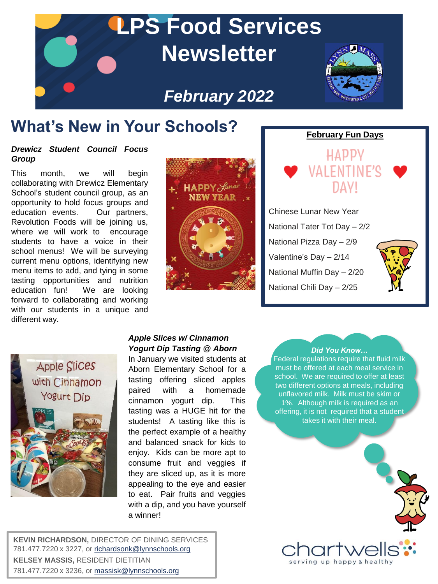

# **What's New in Your Schools?** February Fun Days

### *Drewicz Student Council Focus Group*

This month, we will begin collaborating with Drewicz Elementary School's student council group, as an opportunity to hold focus groups and education events. Our partners, Revolution Foods will be joining us, where we will work to encourage students to have a voice in their school menus! We will be surveying current menu options, identifying new menu items to add, and tying in some tasting opportunities and nutrition education fun! We are looking forward to collaborating and working with our students in a unique and different way.



HADDV

DAVI

**ENTINE'Q** 

Chinese Lunar New Year National Tater Tot Day – 2/2 National Pizza Day – 2/9 Valentine's Day – 2/14 National Muffin Day – 2/20 National Chili Day – 2/25





## *Apple Slices w/ Cinnamon Yogurt Dip Tasting @ Aborn*

In January we visited students at Aborn Elementary School for a tasting offering sliced apples paired with a homemade cinnamon yogurt dip. This tasting was a HUGE hit for the students! A tasting like this is the perfect example of a healthy and balanced snack for kids to enjoy. Kids can be more apt to consume fruit and veggies if they are sliced up, as it is more appealing to the eye and easier to eat. Pair fruits and veggies with a dip, and you have yourself a winner!

### *Did You Know…*

Federal regulations require that fluid milk must be offered at each meal service in school. We are required to offer at least two different options at meals, including unflavored milk. Milk must be skim or 1%. Although milk is required as an offering, it is not required that a student takes it with their meal.



**KEVIN RICHARDSON,** DIRECTOR OF DINING SERVICES 781.477.7220 x 3227, or [richardsonk@lynnschools.org](mailto:richardsonk@lynnschools.org) **KELSEY MASSIS,** RESIDENT DIETITIAN 781.477.7220 x 3236, or [massisk@lynnschools.org](mailto:massisk@lynnschools.org)